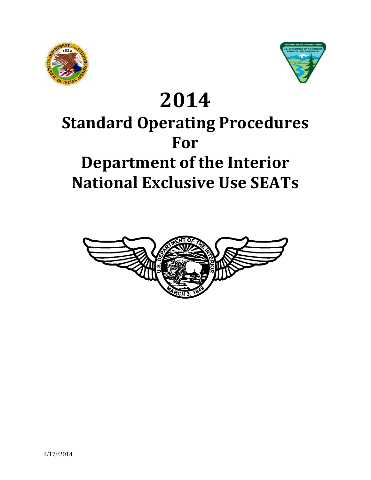



# **2014 Standard Operating Procedures For Department of the Interior National Exclusive Use SEATs**

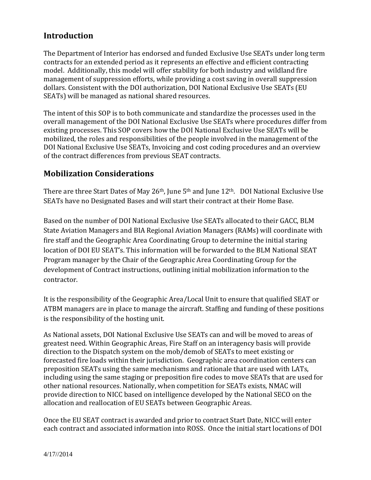# **Introduction**

The Department of Interior has endorsed and funded Exclusive Use SEATs under long term contracts for an extended period as it represents an effective and efficient contracting model. Additionally, this model will offer stability for both industry and wildland fire management of suppression efforts, while providing a cost saving in overall suppression dollars. Consistent with the DOI authorization, DOI National Exclusive Use SEATs (EU SEATs) will be managed as national shared resources.

The intent of this SOP is to both communicate and standardize the processes used in the overall management of the DOI National Exclusive Use SEATs where procedures differ from existing processes. This SOP covers how the DOI National Exclusive Use SEATs will be mobilized, the roles and responsibilities of the people involved in the management of the DOI National Exclusive Use SEATs, Invoicing and cost coding procedures and an overview of the contract differences from previous SEAT contracts.

# **Mobilization Considerations**

There are three Start Dates of May 26<sup>th</sup>, June 5<sup>th</sup> and June 12<sup>th</sup>. DOI National Exclusive Use SEATs have no Designated Bases and will start their contract at their Home Base.

Based on the number of DOI National Exclusive Use SEATs allocated to their GACC, BLM State Aviation Managers and BIA Regional Aviation Managers (RAMs) will coordinate with fire staff and the Geographic Area Coordinating Group to determine the initial staring location of DOI EU SEAT's. This information will be forwarded to the BLM National SEAT Program manager by the Chair of the Geographic Area Coordinating Group for the development of Contract instructions, outlining initial mobilization information to the contractor.

It is the responsibility of the Geographic Area/Local Unit to ensure that qualified SEAT or ATBM managers are in place to manage the aircraft. Staffing and funding of these positions is the responsibility of the hosting unit.

As National assets, DOI National Exclusive Use SEATs can and will be moved to areas of greatest need. Within Geographic Areas, Fire Staff on an interagency basis will provide direction to the Dispatch system on the mob/demob of SEATs to meet existing or forecasted fire loads within their jurisdiction. Geographic area coordination centers can preposition SEATs using the same mechanisms and rationale that are used with LATs, including using the same staging or preposition fire codes to move SEATs that are used for other national resources. Nationally, when competition for SEATs exists, NMAC will provide direction to NICC based on intelligence developed by the National SECO on the allocation and reallocation of EU SEATs between Geographic Areas.

Once the EU SEAT contract is awarded and prior to contract Start Date, NICC will enter each contract and associated information into ROSS. Once the initial start locations of DOI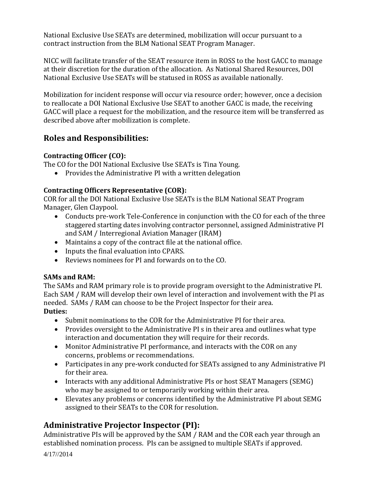National Exclusive Use SEATs are determined, mobilization will occur pursuant to a contract instruction from the BLM National SEAT Program Manager.

NICC will facilitate transfer of the SEAT resource item in ROSS to the host GACC to manage at their discretion for the duration of the allocation. As National Shared Resources, DOI National Exclusive Use SEATs will be statused in ROSS as available nationally.

Mobilization for incident response will occur via resource order; however, once a decision to reallocate a DOI National Exclusive Use SEAT to another GACC is made, the receiving GACC will place a request for the mobilization, and the resource item will be transferred as described above after mobilization is complete.

# **Roles and Responsibilities:**

# **Contracting Officer (CO):**

The CO for the DOI National Exclusive Use SEATs is Tina Young.

• Provides the Administrative PI with a written delegation

## **Contracting Officers Representative (COR):**

COR for all the DOI National Exclusive Use SEATs is the BLM National SEAT Program Manager, Glen Claypool.

- Conducts pre-work Tele-Conference in conjunction with the CO for each of the three staggered starting dates involving contractor personnel, assigned Administrative PI and SAM / Interregional Aviation Manager (IRAM)
- Maintains a copy of the contract file at the national office.
- Inputs the final evaluation into CPARS.
- Reviews nominees for PI and forwards on to the CO.

## **SAMs and RAM:**

The SAMs and RAM primary role is to provide program oversight to the Administrative PI. Each SAM / RAM will develop their own level of interaction and involvement with the PI as needed. SAMs / RAM can choose to be the Project Inspector for their area. **Duties:**

- Submit nominations to the COR for the Administrative PI for their area.
- Provides oversight to the Administrative PI s in their area and outlines what type interaction and documentation they will require for their records.
- Monitor Administrative PI performance, and interacts with the COR on any concerns, problems or recommendations.
- Participates in any pre-work conducted for SEATs assigned to any Administrative PI for their area.
- Interacts with any additional Administrative PIs or host SEAT Managers (SEMG) who may be assigned to or temporarily working within their area.
- Elevates any problems or concerns identified by the Administrative PI about SEMG assigned to their SEATs to the COR for resolution.

# **Administrative Projector Inspector (PI):**

Administrative PIs will be approved by the SAM / RAM and the COR each year through an established nomination process. PIs can be assigned to multiple SEATs if approved.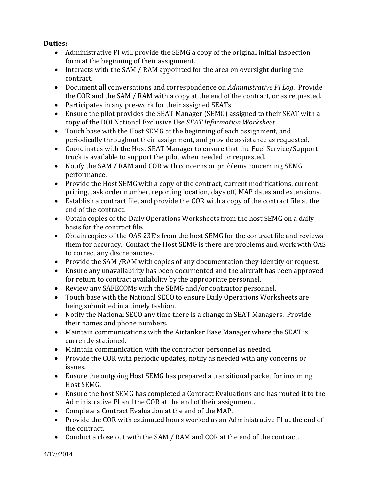## **Duties:**

- Administrative PI will provide the SEMG a copy of the original initial inspection form at the beginning of their assignment.
- Interacts with the SAM / RAM appointed for the area on oversight during the contract.
- Document all conversations and correspondence on *Administrative PI Log*. Provide the COR and the SAM / RAM with a copy at the end of the contract, or as requested.
- Participates in any pre-work for their assigned SEATs
- Ensure the pilot provides the SEAT Manager (SEMG) assigned to their SEAT with a copy of the DOI National Exclusive Use *SEAT Information Worksheet.*
- Touch base with the Host SEMG at the beginning of each assignment, and periodically throughout their assignment, and provide assistance as requested.
- Coordinates with the Host SEAT Manager to ensure that the Fuel Service/Support truck is available to support the pilot when needed or requested.
- Notify the SAM / RAM and COR with concerns or problems concerning SEMG performance.
- Provide the Host SEMG with a copy of the contract, current modifications, current pricing, task order number, reporting location, days off, MAP dates and extensions.
- Establish a contract file, and provide the COR with a copy of the contract file at the end of the contract.
- Obtain copies of the Daily Operations Worksheets from the host SEMG on a daily basis for the contract file.
- Obtain copies of the OAS 23E's from the host SEMG for the contract file and reviews them for accuracy. Contact the Host SEMG is there are problems and work with OAS to correct any discrepancies.
- Provide the SAM /RAM with copies of any documentation they identify or request.
- Ensure any unavailability has been documented and the aircraft has been approved for return to contract availability by the appropriate personnel.
- Review any SAFECOMs with the SEMG and/or contractor personnel.
- Touch base with the National SECO to ensure Daily Operations Worksheets are being submitted in a timely fashion.
- Notify the National SECO any time there is a change in SEAT Managers. Provide their names and phone numbers.
- Maintain communications with the Airtanker Base Manager where the SEAT is currently stationed.
- Maintain communication with the contractor personnel as needed.
- Provide the COR with periodic updates, notify as needed with any concerns or issues.
- Ensure the outgoing Host SEMG has prepared a transitional packet for incoming Host SEMG.
- Ensure the host SEMG has completed a Contract Evaluations and has routed it to the Administrative PI and the COR at the end of their assignment.
- Complete a Contract Evaluation at the end of the MAP.
- Provide the COR with estimated hours worked as an Administrative PI at the end of the contract.
- Conduct a close out with the SAM / RAM and COR at the end of the contract.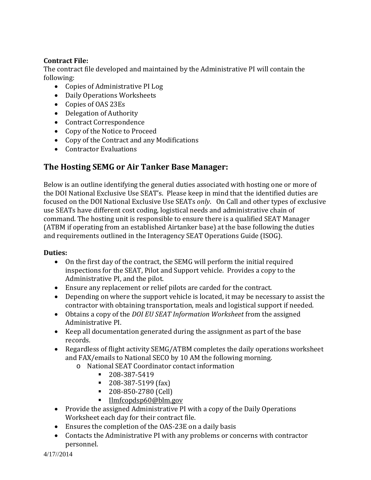## **Contract File:**

The contract file developed and maintained by the Administrative PI will contain the following:

- Copies of Administrative PI Log
- Daily Operations Worksheets
- Copies of OAS 23Es
- Delegation of Authority
- Contract Correspondence
- Copy of the Notice to Proceed
- Copy of the Contract and any Modifications
- Contractor Evaluations

# **The Hosting SEMG or Air Tanker Base Manager:**

Below is an outline identifying the general duties associated with hosting one or more of the DOI National Exclusive Use SEAT's. Please keep in mind that the identified duties are focused on the DOI National Exclusive Use SEATs *only*. On Call and other types of exclusive use SEATs have different cost coding, logistical needs and administrative chain of command. The hosting unit is responsible to ensure there is a qualified SEAT Manager (ATBM if operating from an established Airtanker base) at the base following the duties and requirements outlined in the Interagency SEAT Operations Guide (ISOG).

## **Duties:**

- On the first day of the contract, the SEMG will perform the initial required inspections for the SEAT, Pilot and Support vehicle. Provides a copy to the Administrative PI, and the pilot.
- Ensure any replacement or relief pilots are carded for the contract.
- Depending on where the support vehicle is located, it may be necessary to assist the contractor with obtaining transportation, meals and logistical support if needed.
- Obtains a copy of the *DOI EU SEAT Information Worksheet* from the assigned Administrative PI.
- Keep all documentation generated during the assignment as part of the base records.
- Regardless of flight activity SEMG/ATBM completes the daily operations worksheet and FAX/emails to National SECO by 10 AM the following morning.
	- o National SEAT Coordinator contact information
		- $-208-387-5419$
		- 208-387-5199 (fax)
		- 208-850-2780 (Cell)
		- [Ilmfcopdsp60@blm.gov](mailto:Ilmfcopdsp60@blm.gov)
- Provide the assigned Administrative PI with a copy of the Daily Operations Worksheet each day for their contract file.
- Ensures the completion of the OAS-23E on a daily basis
- Contacts the Administrative PI with any problems or concerns with contractor personnel.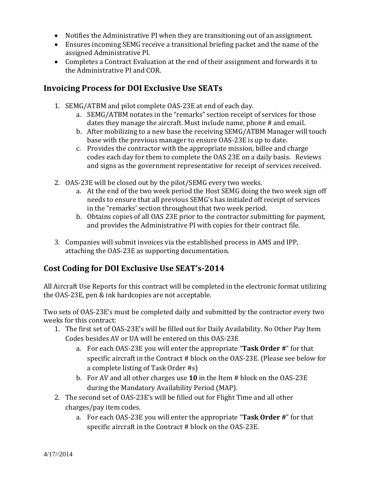- Notifies the Administrative PI when they are transitioning out of an assignment.
- Ensures incoming SEMG receive a transitional briefing packet and the name of the assigned Administrative PI.
- Completes a Contract Evaluation at the end of their assignment and forwards it to the Administrative PI and COR.

# **Invoicing Process for DOI Exclusive Use SEATs**

- 1. SEMG/ATBM and pilot complete OAS-23E at end of each day.
	- a. SEMG/ATBM notates in the "remarks" section receipt of services for those dates they manage the aircraft. Must include name, phone # and email.
	- b. After mobilizing to a new base the receiving SEMG/ATBM Manager will touch base with the previous manager to ensure OAS-23E is up to date.
	- c. Provides the contractor with the appropriate mission, billee and charge codes each day for them to complete the OAS 23E on a daily basis. Reviews and signs as the government representative for receipt of services received.
- 2. OAS-23E will be closed out by the pilot/SEMG every two weeks.
	- a. At the end of the two week period the Host SEMG doing the two week sign off needs to ensure that all previous SEMG's has initialed off receipt of services in the "remarks' section throughout that two week period.
	- b. Obtains copies of all OAS 23E prior to the contractor submitting for payment, and provides the Administrative PI with copies for their contract file.
- 3. Companies will submit invoices via the established process in AMS and IPP, attaching the OAS-23E as supporting documentation.

# **Cost Coding for DOI Exclusive Use SEAT's-2014**

All Aircraft Use Reports for this contract will be completed in the electronic format utilizing the OAS-23E, pen & ink hardcopies are not acceptable.

Two sets of OAS-23E's must be completed daily and submitted by the contractor every two weeks for this contract:

- 1. The first set of OAS-23E's will be filled out for Daily Availability. No Other Pay Item Codes besides AV or UA will be entered on this OAS-23E
	- a. For each OAS-23E you will enter the appropriate "**Task Order #**" for that specific aircraft in the Contract # block on the OAS-23E. (Please see below for a complete listing of Task Order #s)
	- b. For AV and all other charges use **10** in the Item # block on the OAS-23E during the Mandatory Availability Period (MAP).
- 2. The second set of OAS-23E's will be filled out for Flight Time and all other charges/pay item codes.
	- a. For each OAS-23E you will enter the appropriate "**Task Order #**" for that specific aircraft in the Contract # block on the OAS-23E.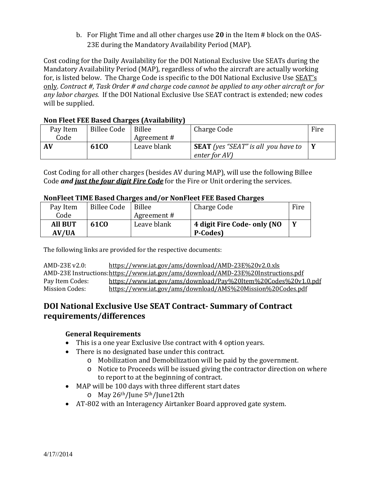b. For Flight Time and all other charges use **20** in the Item # block on the OAS-23E during the Mandatory Availability Period (MAP).

Cost coding for the Daily Availability for the DOI National Exclusive Use SEATs during the Mandatory Availability Period (MAP), regardless of who the aircraft are actually working for, is listed below. The Charge Code is specific to the DOI National Exclusive Use SEAT's only. *Contract #, Task Order # and charge code cannot be applied to any other aircraft or for any labor charges.* If the DOI National Exclusive Use SEAT contract is extended; new codes will be supplied.

| NULL FICCUTELY DASCUTERING CONTROLLEY |                    |             |                                            |      |  |  |
|---------------------------------------|--------------------|-------------|--------------------------------------------|------|--|--|
| Pay Item                              | <b>Billee Code</b> | Billee      | Charge Code                                | Fire |  |  |
| Code                                  |                    | Agreement # |                                            |      |  |  |
| AV                                    | <b>61CO</b>        | Leave blank | <b>SEAT</b> (yes "SEAT" is all you have to |      |  |  |
|                                       |                    |             | enter for AV)                              |      |  |  |

## **Non Fleet FEE Based Charges (Availability)**

Cost Coding for all other charges (besides AV during MAP), will use the following Billee Code *and just the four digit Fire Code* for the Fire or Unit ordering the services.

#### **NonFleet TIME Based Charges and/or NonFleet FEE Based Charges**

| Pay Item       | <b>Billee Code</b> | Billee      | Charge Code                 | Fire |
|----------------|--------------------|-------------|-----------------------------|------|
| Code           |                    | Agreement # |                             |      |
| <b>All BUT</b> | <b>61CO</b>        | Leave blank | 4 digit Fire Code- only (NO | Y    |
| AV/UA          |                    |             | P-Codes)                    |      |

The following links are provided for the respective documents:

| AMD-23E v2.0:   | https://www.iat.gov/ams/download/AMD-23E%20v2.0.xls                              |
|-----------------|----------------------------------------------------------------------------------|
|                 | AMD-23E Instructions:https://www.iat.gov/ams/download/AMD-23E%20Instructions.pdf |
| Pay Item Codes: | https://www.iat.gov/ams/download/Pay%20Item%20Codes%20v1.0.pdf                   |
| Mission Codes:  | https://www.iat.gov/ams/download/AMS%20Mission%20Codes.pdf                       |

# **DOI National Exclusive Use SEAT Contract- Summary of Contract requirements/differences**

## **General Requirements**

- This is a one year Exclusive Use contract with 4 option years.
- There is no designated base under this contract.
	- o Mobilization and Demobilization will be paid by the government.
	- o Notice to Proceeds will be issued giving the contractor direction on where to report to at the beginning of contract.
- MAP will be 100 days with three different start dates
	- o May 26th/June 5th/June12th
- AT-802 with an Interagency Airtanker Board approved gate system.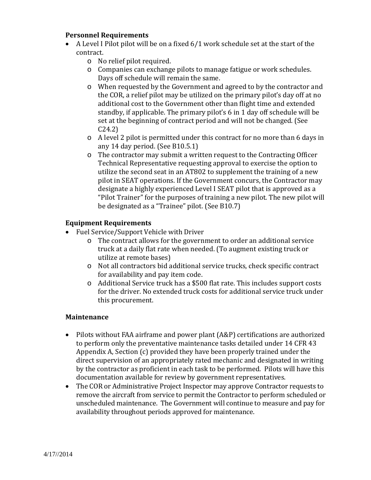#### **Personnel Requirements**

- A Level I Pilot pilot will be on a fixed 6/1 work schedule set at the start of the contract.
	- o No relief pilot required.
	- o Companies can exchange pilots to manage fatigue or work schedules. Days off schedule will remain the same.
	- o When requested by the Government and agreed to by the contractor and the COR, a relief pilot may be utilized on the primary pilot's day off at no additional cost to the Government other than flight time and extended standby, if applicable. The primary pilot's 6 in 1 day off schedule will be set at the beginning of contract period and will not be changed. (See C24.2)
	- o A level 2 pilot is permitted under this contract for no more than 6 days in any 14 day period. (See B10.5.1)
	- o The contractor may submit a written request to the Contracting Officer Technical Representative requesting approval to exercise the option to utilize the second seat in an AT802 to supplement the training of a new pilot in SEAT operations. If the Government concurs, the Contractor may designate a highly experienced Level I SEAT pilot that is approved as a "Pilot Trainer" for the purposes of training a new pilot. The new pilot will be designated as a "Trainee" pilot. (See B10.7)

#### **Equipment Requirements**

- Fuel Service/Support Vehicle with Driver
	- o The contract allows for the government to order an additional service truck at a daily flat rate when needed. (To augment existing truck or utilize at remote bases)
	- o Not all contractors bid additional service trucks, check specific contract for availability and pay item code.
	- o Additional Service truck has a \$500 flat rate. This includes support costs for the driver. No extended truck costs for additional service truck under this procurement.

#### **Maintenance**

- Pilots without FAA airframe and power plant (A&P) certifications are authorized to perform only the preventative maintenance tasks detailed under 14 CFR 43 Appendix A, Section (c) provided they have been properly trained under the direct supervision of an appropriately rated mechanic and designated in writing by the contractor as proficient in each task to be performed. Pilots will have this documentation available for review by government representatives.
- The COR or Administrative Project Inspector may approve Contractor requests to remove the aircraft from service to permit the Contractor to perform scheduled or unscheduled maintenance. The Government will continue to measure and pay for availability throughout periods approved for maintenance.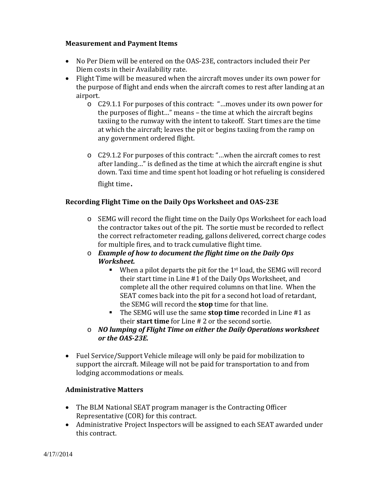#### **Measurement and Payment Items**

- No Per Diem will be entered on the OAS-23E, contractors included their Per Diem costs in their Availability rate.
- Flight Time will be measured when the aircraft moves under its own power for the purpose of flight and ends when the aircraft comes to rest after landing at an airport.
	- o C29.1.1 For purposes of this contract: "…moves under its own power for the purposes of flight…" means – the time at which the aircraft begins taxiing to the runway with the intent to takeoff. Start times are the time at which the aircraft; leaves the pit or begins taxiing from the ramp on any government ordered flight.
	- o C29.1.2 For purposes of this contract: "…when the aircraft comes to rest after landing…" is defined as the time at which the aircraft engine is shut down. Taxi time and time spent hot loading or hot refueling is considered flight time.

#### **Recording Flight Time on the Daily Ops Worksheet and OAS-23E**

- o SEMG will record the flight time on the Daily Ops Worksheet for each load the contractor takes out of the pit. The sortie must be recorded to reflect the correct refractometer reading, gallons delivered, correct charge codes for multiple fires, and to track cumulative flight time.
- o *Example of how to document the flight time on the Daily Ops Worksheet.*
	- $\blacksquare$  When a pilot departs the pit for the 1<sup>st</sup> load, the SEMG will record their start time in Line #1 of the Daily Ops Worksheet, and complete all the other required columns on that line. When the SEAT comes back into the pit for a second hot load of retardant, the SEMG will record the **stop** time for that line.
	- The SEMG will use the same **stop time** recorded in Line #1 as their **start time** for Line # 2 or the second sortie.
- o *NO lumping of Flight Time on either the Daily Operations worksheet or the OAS-23E.*
- Fuel Service/Support Vehicle mileage will only be paid for mobilization to support the aircraft. Mileage will not be paid for transportation to and from lodging accommodations or meals.

#### **Administrative Matters**

- The BLM National SEAT program manager is the Contracting Officer Representative (COR) for this contract.
- Administrative Project Inspectors will be assigned to each SEAT awarded under this contract.